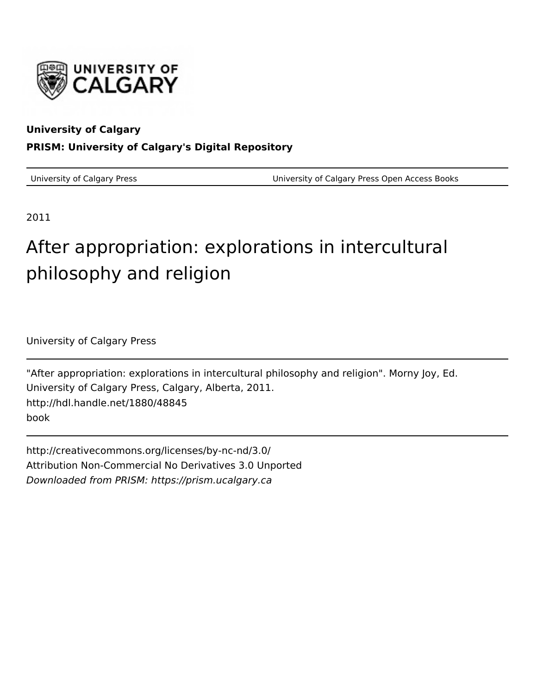

## **University of Calgary PRISM: University of Calgary's Digital Repository**

University of Calgary Press University of Calgary Press Open Access Books

2011

## After appropriation: explorations in intercultural philosophy and religion

University of Calgary Press

"After appropriation: explorations in intercultural philosophy and religion". Morny Joy, Ed. University of Calgary Press, Calgary, Alberta, 2011. http://hdl.handle.net/1880/48845 book

http://creativecommons.org/licenses/by-nc-nd/3.0/ Attribution Non-Commercial No Derivatives 3.0 Unported Downloaded from PRISM: https://prism.ucalgary.ca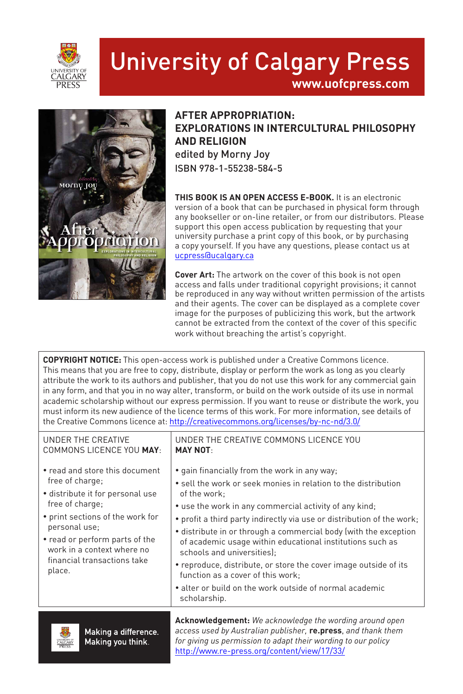

# University of Calgary Press

**www.uofcpress.com**



### **AFTER APPROPRIATION: EXPLORATIONS IN INTERCULTURAL PHILOSOPHY AND RELIGION** edited by Morny Joy ISBN 978-1-55238-584-5

**THIS BOOK IS AN OPEN ACCESS E-BOOK.** It is an electronic version of a book that can be purchased in physical form through any bookseller or on-line retailer, or from our distributors. Please support this open access publication by requesting that your university purchase a print copy of this book, or by purchasing a copy yourself. If you have any questions, please contact us at ucpress@ucalgary.ca

**Cover Art:** The artwork on the cover of this book is not open access and falls under traditional copyright provisions; it cannot be reproduced in any way without written permission of the artists and their agents. The cover can be displayed as a complete cover image for the purposes of publicizing this work, but the artwork cannot be extracted from the context of the cover of this specific work without breaching the artist's copyright.

**COPYRIGHT NOTICE:** This open-access work is published under a Creative Commons licence. This means that you are free to copy, distribute, display or perform the work as long as you clearly attribute the work to its authors and publisher, that you do not use this work for any commercial gain in any form, and that you in no way alter, transform, or build on the work outside of its use in normal academic scholarship without our express permission. If you want to reuse or distribute the work, you must inform its new audience of the licence terms of this work. For more information, see details of the Creative Commons licence at: http://creativecommons.org/licenses/by-nc-nd/3.0/

| UNDER THE CREATIVE                                                                                                                                                                                                                                                     | UNDER THE CREATIVE COMMONS LICENCE YOU                                                                                                                                                                                                                                                                                                                                                                                                                                                                                                                                                                                |
|------------------------------------------------------------------------------------------------------------------------------------------------------------------------------------------------------------------------------------------------------------------------|-----------------------------------------------------------------------------------------------------------------------------------------------------------------------------------------------------------------------------------------------------------------------------------------------------------------------------------------------------------------------------------------------------------------------------------------------------------------------------------------------------------------------------------------------------------------------------------------------------------------------|
| COMMONS LICENCE YOU MAY:                                                                                                                                                                                                                                               | <b>MAY NOT:</b>                                                                                                                                                                                                                                                                                                                                                                                                                                                                                                                                                                                                       |
| • read and store this document<br>free of charge;<br>· distribute it for personal use<br>free of charge;<br>• print sections of the work for<br>personal use;<br>• read or perform parts of the<br>work in a context where no<br>financial transactions take<br>place. | • gain financially from the work in any way;<br>• sell the work or seek monies in relation to the distribution<br>of the work:<br>• use the work in any commercial activity of any kind;<br>• profit a third party indirectly via use or distribution of the work;<br>• distribute in or through a commercial body (with the exception<br>of academic usage within educational institutions such as<br>schools and universities);<br>• reproduce, distribute, or store the cover image outside of its<br>function as a cover of this work:<br>• alter or build on the work outside of normal academic<br>scholarship. |
| 黒の鳥                                                                                                                                                                                                                                                                    | <b>Acknowledgement:</b> We acknowledge the wording around open                                                                                                                                                                                                                                                                                                                                                                                                                                                                                                                                                        |
| .                                                                                                                                                                                                                                                                      | saasaa waad by Awatosian nyklishan <b>na nusaa</b> and thank thans                                                                                                                                                                                                                                                                                                                                                                                                                                                                                                                                                    |



Making a difference. Making you think.

*access used by Australian publisher,* **re.press**, *and thank them for giving us permission to adapt their wording to our policy* http://www.re-press.org/content/view/17/33/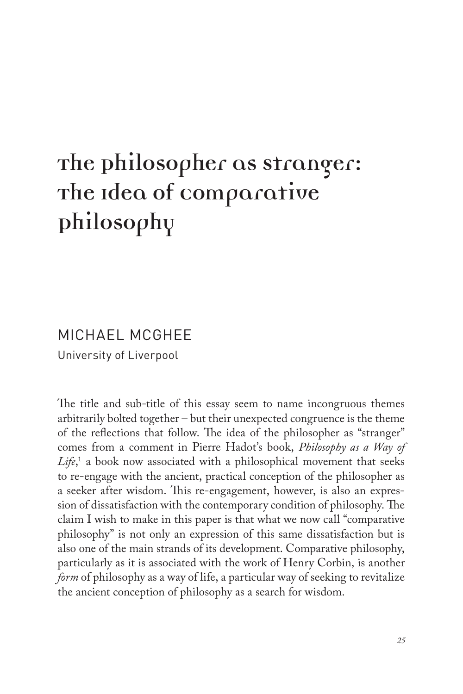## **The Philosopher as Stranger: The Idea of Comparative Philosophy**

## MICHAEL MCGHEE University of Liverpool

The title and sub-title of this essay seem to name incongruous themes arbitrarily bolted together – but their unexpected congruence is the theme of the reflections that follow. The idea of the philosopher as "stranger" comes from a comment in Pierre Hadot's book, *Philosophy as a Way of Life*, 1 a book now associated with a philosophical movement that seeks to re-engage with the ancient, practical conception of the philosopher as a seeker after wisdom. This re-engagement, however, is also an expression of dissatisfaction with the contemporary condition of philosophy. The claim I wish to make in this paper is that what we now call "comparative philosophy" is not only an expression of this same dissatisfaction but is also one of the main strands of its development. Comparative philosophy, particularly as it is associated with the work of Henry Corbin, is another *form* of philosophy as a way of life, a particular way of seeking to revitalize the ancient conception of philosophy as a search for wisdom.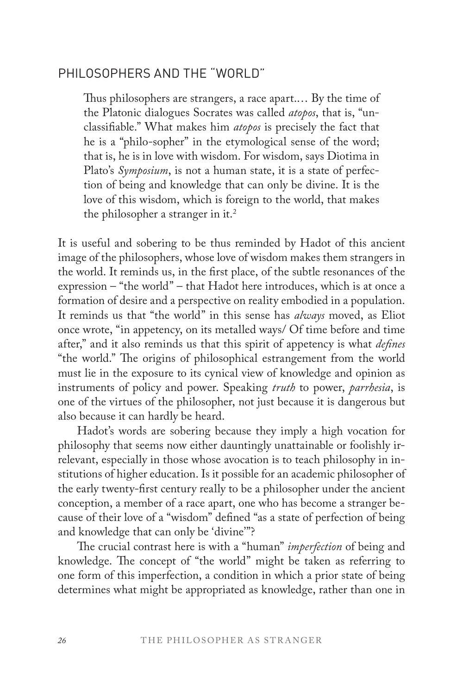### PHILOSOPHERS AND THE "WORLD"

Thus philosophers are strangers, a race apart.… By the time of the Platonic dialogues Socrates was called *atopos*, that is, "unclassifiable." What makes him *atopos* is precisely the fact that he is a "philo-sopher" in the etymological sense of the word; that is, he is in love with wisdom. For wisdom, says Diotima in Plato's *Symposium*, is not a human state, it is a state of perfection of being and knowledge that can only be divine. It is the love of this wisdom, which is foreign to the world, that makes the philosopher a stranger in it.<sup>2</sup>

It is useful and sobering to be thus reminded by Hadot of this ancient image of the philosophers, whose love of wisdom makes them strangers in the world. It reminds us, in the first place, of the subtle resonances of the expression – "the world" – that Hadot here introduces, which is at once a formation of desire and a perspective on reality embodied in a population. It reminds us that "the world" in this sense has *always* moved, as Eliot once wrote, "in appetency, on its metalled ways/ Of time before and time after," and it also reminds us that this spirit of appetency is what *defines* "the world." The origins of philosophical estrangement from the world must lie in the exposure to its cynical view of knowledge and opinion as instruments of policy and power. Speaking *truth* to power, *parrhesia*, is one of the virtues of the philosopher, not just because it is dangerous but also because it can hardly be heard.

Hadot's words are sobering because they imply a high vocation for philosophy that seems now either dauntingly unattainable or foolishly irrelevant, especially in those whose avocation is to teach philosophy in institutions of higher education. Is it possible for an academic philosopher of the early twenty-first century really to be a philosopher under the ancient conception, a member of a race apart, one who has become a stranger because of their love of a "wisdom" defined "as a state of perfection of being and knowledge that can only be 'divine'"?

The crucial contrast here is with a "human" *imperfection* of being and knowledge. The concept of "the world" might be taken as referring to one form of this imperfection, a condition in which a prior state of being determines what might be appropriated as knowledge, rather than one in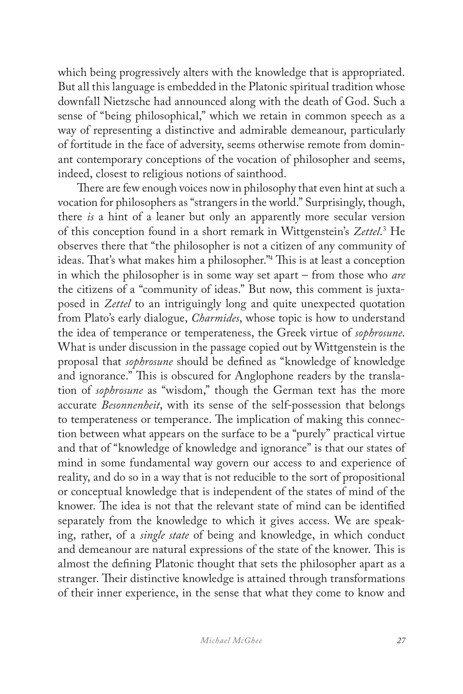which being progressively alters with the knowledge that is appropriated. But all this language is embedded in the Platonic spiritual tradition whose downfall Nietzsche had announced along with the death of God. Such a sense of "being philosophical," which we retain in common speech as a way of representing a distinctive and admirable demeanour, particularly of fortitude in the face of adversity, seems otherwise remote from dominant contemporary conceptions of the vocation of philosopher and seems, indeed, closest to religious notions of sainthood.

There are few enough voices now in philosophy that even hint at such a vocation for philosophers as "strangers in the world." Surprisingly, though, there *is* a hint of a leaner but only an apparently more secular version of this conception found in a short remark in Wittgenstein's *Zettel*. 3 He observes there that "the philosopher is not a citizen of any community of ideas. That's what makes him a philosopher."4 This is at least a conception in which the philosopher is in some way set apart – from those who *are* the citizens of a "community of ideas." But now, this comment is juxtaposed in *Zettel* to an intriguingly long and quite unexpected quotation from Plato's early dialogue, *Charmides*, whose topic is how to understand the idea of temperance or temperateness, the Greek virtue of *sophrosune*. What is under discussion in the passage copied out by Wittgenstein is the proposal that *sophrosune* should be defined as "knowledge of knowledge and ignorance." This is obscured for Anglophone readers by the translation of *sophrosune* as "wisdom," though the German text has the more accurate *Besonnenheit*, with its sense of the self-possession that belongs to temperateness or temperance. The implication of making this connection between what appears on the surface to be a "purely" practical virtue and that of "knowledge of knowledge and ignorance" is that our states of mind in some fundamental way govern our access to and experience of reality, and do so in a way that is not reducible to the sort of propositional or conceptual knowledge that is independent of the states of mind of the knower. The idea is not that the relevant state of mind can be identified separately from the knowledge to which it gives access. We are speaking, rather, of a *single state* of being and knowledge, in which conduct and demeanour are natural expressions of the state of the knower. This is almost the defining Platonic thought that sets the philosopher apart as a stranger. Their distinctive knowledge is attained through transformations of their inner experience, in the sense that what they come to know and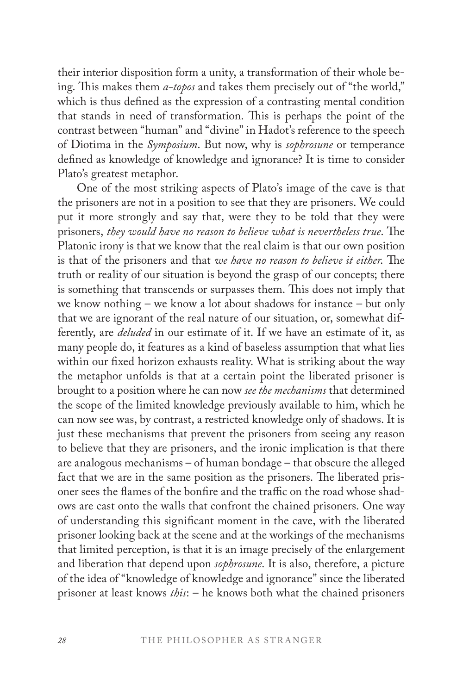their interior disposition form a unity, a transformation of their whole being. This makes them *a-topos* and takes them precisely out of "the world," which is thus defined as the expression of a contrasting mental condition that stands in need of transformation. This is perhaps the point of the contrast between "human" and "divine" in Hadot's reference to the speech of Diotima in the *Symposium*. But now, why is *sophrosune* or temperance defined as knowledge of knowledge and ignorance? It is time to consider Plato's greatest metaphor.

One of the most striking aspects of Plato's image of the cave is that the prisoners are not in a position to see that they are prisoners. We could put it more strongly and say that, were they to be told that they were prisoners, *they would have no reason to believe what is nevertheless true*. The Platonic irony is that we know that the real claim is that our own position is that of the prisoners and that *we have no reason to believe it either*. The truth or reality of our situation is beyond the grasp of our concepts; there is something that transcends or surpasses them. This does not imply that we know nothing – we know a lot about shadows for instance – but only that we are ignorant of the real nature of our situation, or, somewhat differently, are *deluded* in our estimate of it. If we have an estimate of it, as many people do, it features as a kind of baseless assumption that what lies within our fixed horizon exhausts reality. What is striking about the way the metaphor unfolds is that at a certain point the liberated prisoner is brought to a position where he can now *see the mechanisms* that determined the scope of the limited knowledge previously available to him, which he can now see was, by contrast, a restricted knowledge only of shadows. It is just these mechanisms that prevent the prisoners from seeing any reason to believe that they are prisoners, and the ironic implication is that there are analogous mechanisms – of human bondage – that obscure the alleged fact that we are in the same position as the prisoners. The liberated prisoner sees the flames of the bonfire and the traffic on the road whose shadows are cast onto the walls that confront the chained prisoners. One way of understanding this significant moment in the cave, with the liberated prisoner looking back at the scene and at the workings of the mechanisms that limited perception, is that it is an image precisely of the enlargement and liberation that depend upon *sophrosune*. It is also, therefore, a picture of the idea of "knowledge of knowledge and ignorance" since the liberated prisoner at least knows *this*: – he knows both what the chained prisoners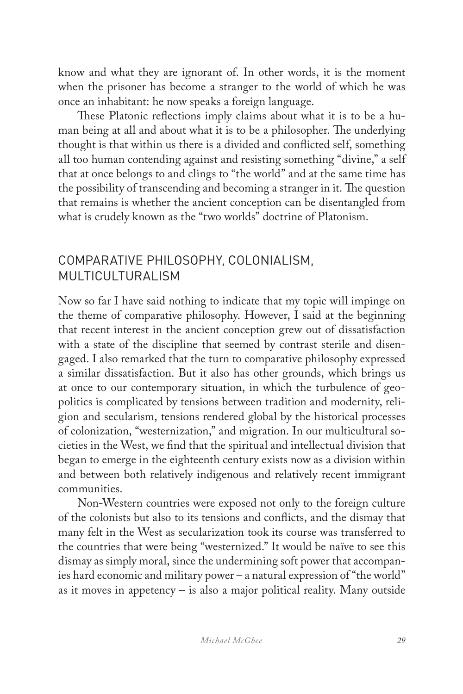know and what they are ignorant of. In other words, it is the moment when the prisoner has become a stranger to the world of which he was once an inhabitant: he now speaks a foreign language.

These Platonic reflections imply claims about what it is to be a human being at all and about what it is to be a philosopher. The underlying thought is that within us there is a divided and conflicted self, something all too human contending against and resisting something "divine," a self that at once belongs to and clings to "the world" and at the same time has the possibility of transcending and becoming a stranger in it. The question that remains is whether the ancient conception can be disentangled from what is crudely known as the "two worlds" doctrine of Platonism.

### COMPARATIVE PHILOSOPHY, COLONIALISM, MULTICULTURALISM

Now so far I have said nothing to indicate that my topic will impinge on the theme of comparative philosophy. However, I said at the beginning that recent interest in the ancient conception grew out of dissatisfaction with a state of the discipline that seemed by contrast sterile and disengaged. I also remarked that the turn to comparative philosophy expressed a similar dissatisfaction. But it also has other grounds, which brings us at once to our contemporary situation, in which the turbulence of geopolitics is complicated by tensions between tradition and modernity, religion and secularism, tensions rendered global by the historical processes of colonization, "westernization," and migration. In our multicultural societies in the West, we find that the spiritual and intellectual division that began to emerge in the eighteenth century exists now as a division within and between both relatively indigenous and relatively recent immigrant communities.

Non-Western countries were exposed not only to the foreign culture of the colonists but also to its tensions and conflicts, and the dismay that many felt in the West as secularization took its course was transferred to the countries that were being "westernized." It would be naïve to see this dismay as simply moral, since the undermining soft power that accompanies hard economic and military power – a natural expression of "the world" as it moves in appetency – is also a major political reality. Many outside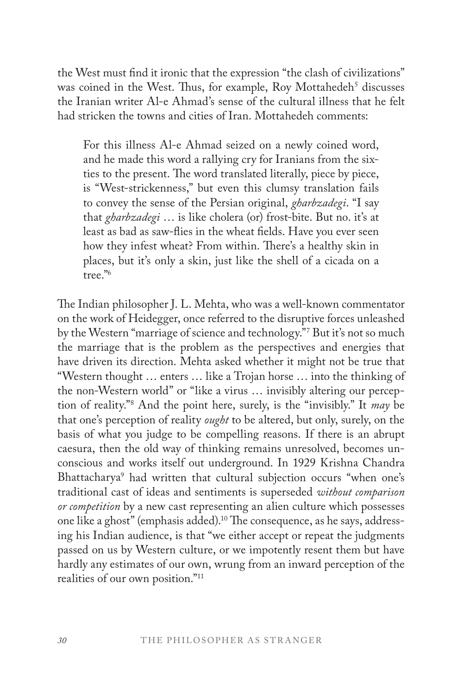the West must find it ironic that the expression "the clash of civilizations" was coined in the West. Thus, for example, Roy Mottahedeh<sup>5</sup> discusses the Iranian writer Al-e Ahmad's sense of the cultural illness that he felt had stricken the towns and cities of Iran. Mottahedeh comments:

For this illness Al-e Ahmad seized on a newly coined word, and he made this word a rallying cry for Iranians from the sixties to the present. The word translated literally, piece by piece, is "West-strickenness," but even this clumsy translation fails to convey the sense of the Persian original, *gharbzadegi*. "I say that *gharbzadegi* … is like cholera (or) frost-bite. But no. it's at least as bad as saw-flies in the wheat fields. Have you ever seen how they infest wheat? From within. There's a healthy skin in places, but it's only a skin, just like the shell of a cicada on a tree."6

The Indian philosopher J. L. Mehta, who was a well-known commentator on the work of Heidegger, once referred to the disruptive forces unleashed by the Western "marriage of science and technology."7 But it's not so much the marriage that is the problem as the perspectives and energies that have driven its direction. Mehta asked whether it might not be true that "Western thought … enters … like a Trojan horse … into the thinking of the non-Western world" or "like a virus … invisibly altering our perception of reality."8 And the point here, surely, is the "invisibly." It *may* be that one's perception of reality *ought* to be altered, but only, surely, on the basis of what you judge to be compelling reasons. If there is an abrupt caesura, then the old way of thinking remains unresolved, becomes unconscious and works itself out underground. In 1929 Krishna Chandra Bhattacharya9 had written that cultural subjection occurs "when one's traditional cast of ideas and sentiments is superseded *without comparison or competition* by a new cast representing an alien culture which possesses one like a ghost" (emphasis added).10 The consequence, as he says, addressing his Indian audience, is that "we either accept or repeat the judgments passed on us by Western culture, or we impotently resent them but have hardly any estimates of our own, wrung from an inward perception of the realities of our own position."11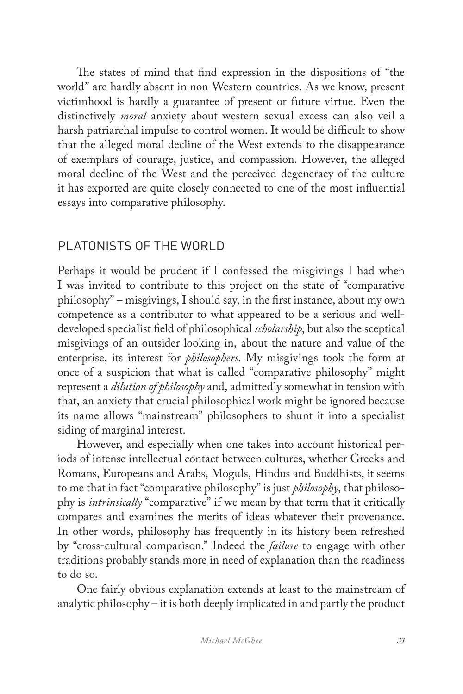The states of mind that find expression in the dispositions of "the world" are hardly absent in non-Western countries. As we know, present victimhood is hardly a guarantee of present or future virtue. Even the distinctively *moral* anxiety about western sexual excess can also veil a harsh patriarchal impulse to control women. It would be difficult to show that the alleged moral decline of the West extends to the disappearance of exemplars of courage, justice, and compassion. However, the alleged moral decline of the West and the perceived degeneracy of the culture it has exported are quite closely connected to one of the most influential essays into comparative philosophy.

### PLATONISTS OF THE WORLD

Perhaps it would be prudent if I confessed the misgivings I had when I was invited to contribute to this project on the state of "comparative philosophy" – misgivings, I should say, in the first instance, about my own competence as a contributor to what appeared to be a serious and welldeveloped specialist field of philosophical *scholarship*, but also the sceptical misgivings of an outsider looking in, about the nature and value of the enterprise, its interest for *philosophers*. My misgivings took the form at once of a suspicion that what is called "comparative philosophy" might represent a *dilution of philosophy* and, admittedly somewhat in tension with that, an anxiety that crucial philosophical work might be ignored because its name allows "mainstream" philosophers to shunt it into a specialist siding of marginal interest.

However, and especially when one takes into account historical periods of intense intellectual contact between cultures, whether Greeks and Romans, Europeans and Arabs, Moguls, Hindus and Buddhists, it seems to me that in fact "comparative philosophy" is just *philosophy*, that philosophy is *intrinsically* "comparative" if we mean by that term that it critically compares and examines the merits of ideas whatever their provenance. In other words, philosophy has frequently in its history been refreshed by "cross-cultural comparison." Indeed the *failure* to engage with other traditions probably stands more in need of explanation than the readiness to do so.

One fairly obvious explanation extends at least to the mainstream of analytic philosophy – it is both deeply implicated in and partly the product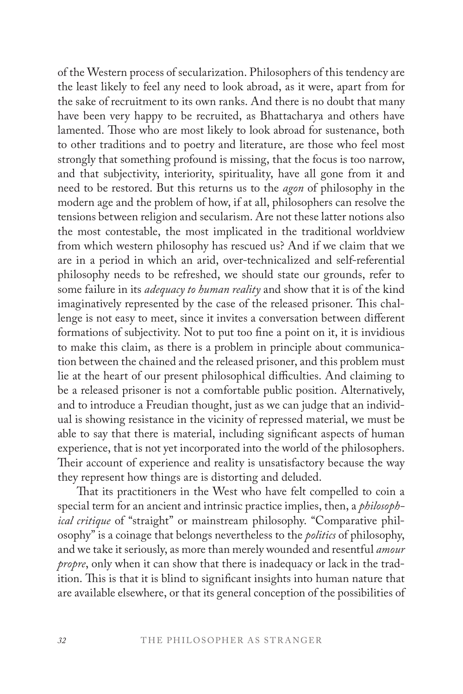of the Western process of secularization. Philosophers of this tendency are the least likely to feel any need to look abroad, as it were, apart from for the sake of recruitment to its own ranks. And there is no doubt that many have been very happy to be recruited, as Bhattacharya and others have lamented. Those who are most likely to look abroad for sustenance, both to other traditions and to poetry and literature, are those who feel most strongly that something profound is missing, that the focus is too narrow, and that subjectivity, interiority, spirituality, have all gone from it and need to be restored. But this returns us to the *agon* of philosophy in the modern age and the problem of how, if at all, philosophers can resolve the tensions between religion and secularism. Are not these latter notions also the most contestable, the most implicated in the traditional worldview from which western philosophy has rescued us? And if we claim that we are in a period in which an arid, over-technicalized and self-referential philosophy needs to be refreshed, we should state our grounds, refer to some failure in its *adequacy to human reality* and show that it is of the kind imaginatively represented by the case of the released prisoner. This challenge is not easy to meet, since it invites a conversation between different formations of subjectivity. Not to put too fine a point on it, it is invidious to make this claim, as there is a problem in principle about communication between the chained and the released prisoner, and this problem must lie at the heart of our present philosophical difficulties. And claiming to be a released prisoner is not a comfortable public position. Alternatively, and to introduce a Freudian thought, just as we can judge that an individual is showing resistance in the vicinity of repressed material, we must be able to say that there is material, including significant aspects of human experience, that is not yet incorporated into the world of the philosophers. Their account of experience and reality is unsatisfactory because the way they represent how things are is distorting and deluded.

That its practitioners in the West who have felt compelled to coin a special term for an ancient and intrinsic practice implies, then, a *philosophical critique* of "straight" or mainstream philosophy. "Comparative philosophy" is a coinage that belongs nevertheless to the *politics* of philosophy, and we take it seriously, as more than merely wounded and resentful *amour propre*, only when it can show that there is inadequacy or lack in the tradition. This is that it is blind to significant insights into human nature that are available elsewhere, or that its general conception of the possibilities of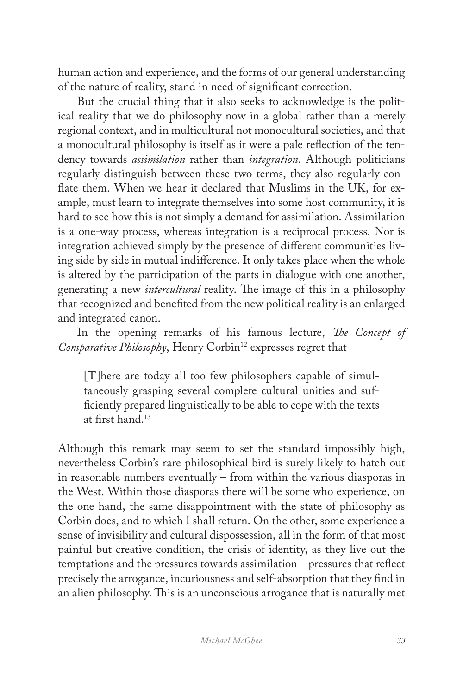human action and experience, and the forms of our general understanding of the nature of reality, stand in need of significant correction.

But the crucial thing that it also seeks to acknowledge is the political reality that we do philosophy now in a global rather than a merely regional context, and in multicultural not monocultural societies, and that a monocultural philosophy is itself as it were a pale reflection of the tendency towards *assimilation* rather than *integration*. Although politicians regularly distinguish between these two terms, they also regularly conflate them. When we hear it declared that Muslims in the UK, for example, must learn to integrate themselves into some host community, it is hard to see how this is not simply a demand for assimilation. Assimilation is a one-way process, whereas integration is a reciprocal process. Nor is integration achieved simply by the presence of different communities living side by side in mutual indifference. It only takes place when the whole is altered by the participation of the parts in dialogue with one another, generating a new *intercultural* reality. The image of this in a philosophy that recognized and benefited from the new political reality is an enlarged and integrated canon.

In the opening remarks of his famous lecture, *The Concept of Comparative Philosophy*, Henry Corbin<sup>12</sup> expresses regret that

[T]here are today all too few philosophers capable of simultaneously grasping several complete cultural unities and sufficiently prepared linguistically to be able to cope with the texts at first hand.13

Although this remark may seem to set the standard impossibly high, nevertheless Corbin's rare philosophical bird is surely likely to hatch out in reasonable numbers eventually – from within the various diasporas in the West. Within those diasporas there will be some who experience, on the one hand, the same disappointment with the state of philosophy as Corbin does, and to which I shall return. On the other, some experience a sense of invisibility and cultural dispossession, all in the form of that most painful but creative condition, the crisis of identity, as they live out the temptations and the pressures towards assimilation – pressures that reflect precisely the arrogance, incuriousness and self-absorption that they find in an alien philosophy. This is an unconscious arrogance that is naturally met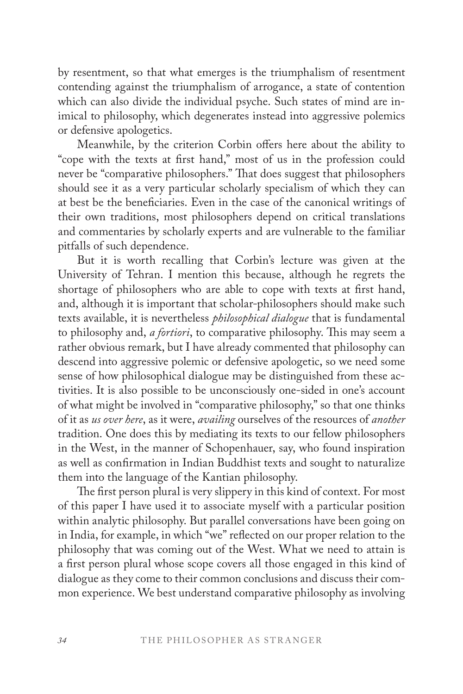by resentment, so that what emerges is the triumphalism of resentment contending against the triumphalism of arrogance, a state of contention which can also divide the individual psyche. Such states of mind are inimical to philosophy, which degenerates instead into aggressive polemics or defensive apologetics.

Meanwhile, by the criterion Corbin offers here about the ability to "cope with the texts at first hand," most of us in the profession could never be "comparative philosophers." That does suggest that philosophers should see it as a very particular scholarly specialism of which they can at best be the beneficiaries. Even in the case of the canonical writings of their own traditions, most philosophers depend on critical translations and commentaries by scholarly experts and are vulnerable to the familiar pitfalls of such dependence.

But it is worth recalling that Corbin's lecture was given at the University of Tehran. I mention this because, although he regrets the shortage of philosophers who are able to cope with texts at first hand, and, although it is important that scholar-philosophers should make such texts available, it is nevertheless *philosophical dialogue* that is fundamental to philosophy and, *a fortiori*, to comparative philosophy. This may seem a rather obvious remark, but I have already commented that philosophy can descend into aggressive polemic or defensive apologetic, so we need some sense of how philosophical dialogue may be distinguished from these activities. It is also possible to be unconsciously one-sided in one's account of what might be involved in "comparative philosophy," so that one thinks of it as *us over here*, as it were, *availing* ourselves of the resources of *another* tradition. One does this by mediating its texts to our fellow philosophers in the West, in the manner of Schopenhauer, say, who found inspiration as well as confirmation in Indian Buddhist texts and sought to naturalize them into the language of the Kantian philosophy.

The first person plural is very slippery in this kind of context. For most of this paper I have used it to associate myself with a particular position within analytic philosophy. But parallel conversations have been going on in India, for example, in which "we" reflected on our proper relation to the philosophy that was coming out of the West. What we need to attain is a first person plural whose scope covers all those engaged in this kind of dialogue as they come to their common conclusions and discuss their common experience. We best understand comparative philosophy as involving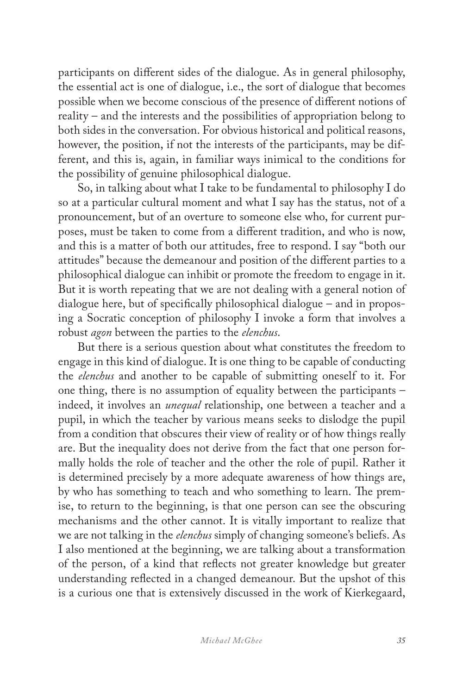participants on different sides of the dialogue. As in general philosophy, the essential act is one of dialogue, i.e., the sort of dialogue that becomes possible when we become conscious of the presence of different notions of reality – and the interests and the possibilities of appropriation belong to both sides in the conversation. For obvious historical and political reasons, however, the position, if not the interests of the participants, may be different, and this is, again, in familiar ways inimical to the conditions for the possibility of genuine philosophical dialogue.

So, in talking about what I take to be fundamental to philosophy I do so at a particular cultural moment and what I say has the status, not of a pronouncement, but of an overture to someone else who, for current purposes, must be taken to come from a different tradition, and who is now, and this is a matter of both our attitudes, free to respond. I say "both our attitudes" because the demeanour and position of the different parties to a philosophical dialogue can inhibit or promote the freedom to engage in it. But it is worth repeating that we are not dealing with a general notion of dialogue here, but of specifically philosophical dialogue – and in proposing a Socratic conception of philosophy I invoke a form that involves a robust *agon* between the parties to the *elenchus*.

But there is a serious question about what constitutes the freedom to engage in this kind of dialogue. It is one thing to be capable of conducting the *elenchus* and another to be capable of submitting oneself to it. For one thing, there is no assumption of equality between the participants – indeed, it involves an *unequal* relationship, one between a teacher and a pupil, in which the teacher by various means seeks to dislodge the pupil from a condition that obscures their view of reality or of how things really are. But the inequality does not derive from the fact that one person formally holds the role of teacher and the other the role of pupil. Rather it is determined precisely by a more adequate awareness of how things are, by who has something to teach and who something to learn. The premise, to return to the beginning, is that one person can see the obscuring mechanisms and the other cannot. It is vitally important to realize that we are not talking in the *elenchus* simply of changing someone's beliefs. As I also mentioned at the beginning, we are talking about a transformation of the person, of a kind that reflects not greater knowledge but greater understanding reflected in a changed demeanour. But the upshot of this is a curious one that is extensively discussed in the work of Kierkegaard,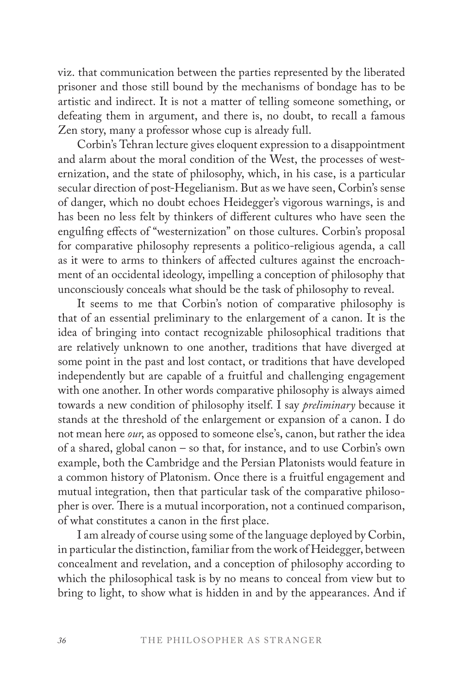viz. that communication between the parties represented by the liberated prisoner and those still bound by the mechanisms of bondage has to be artistic and indirect. It is not a matter of telling someone something, or defeating them in argument, and there is, no doubt, to recall a famous Zen story, many a professor whose cup is already full.

Corbin's Tehran lecture gives eloquent expression to a disappointment and alarm about the moral condition of the West, the processes of westernization, and the state of philosophy, which, in his case, is a particular secular direction of post-Hegelianism. But as we have seen, Corbin's sense of danger, which no doubt echoes Heidegger's vigorous warnings, is and has been no less felt by thinkers of different cultures who have seen the engulfing effects of "westernization" on those cultures. Corbin's proposal for comparative philosophy represents a politico-religious agenda, a call as it were to arms to thinkers of affected cultures against the encroachment of an occidental ideology, impelling a conception of philosophy that unconsciously conceals what should be the task of philosophy to reveal.

It seems to me that Corbin's notion of comparative philosophy is that of an essential preliminary to the enlargement of a canon. It is the idea of bringing into contact recognizable philosophical traditions that are relatively unknown to one another, traditions that have diverged at some point in the past and lost contact, or traditions that have developed independently but are capable of a fruitful and challenging engagement with one another. In other words comparative philosophy is always aimed towards a new condition of philosophy itself. I say *preliminary* because it stands at the threshold of the enlargement or expansion of a canon. I do not mean here *our*, as opposed to someone else's, canon, but rather the idea of a shared, global canon – so that, for instance, and to use Corbin's own example, both the Cambridge and the Persian Platonists would feature in a common history of Platonism. Once there is a fruitful engagement and mutual integration, then that particular task of the comparative philosopher is over. There is a mutual incorporation, not a continued comparison, of what constitutes a canon in the first place.

I am already of course using some of the language deployed by Corbin, in particular the distinction, familiar from the work of Heidegger, between concealment and revelation, and a conception of philosophy according to which the philosophical task is by no means to conceal from view but to bring to light, to show what is hidden in and by the appearances. And if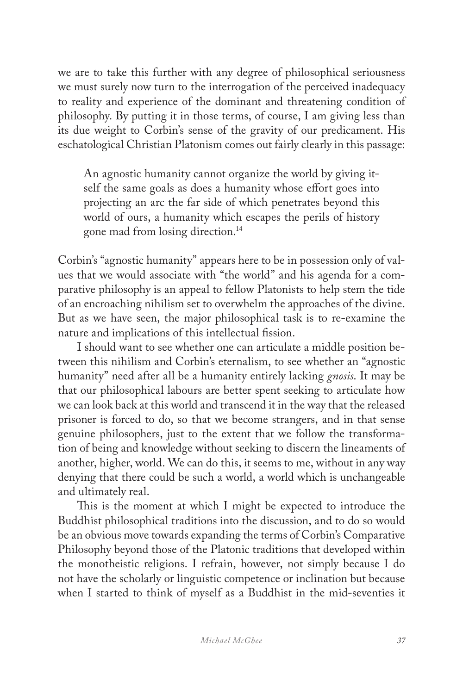we are to take this further with any degree of philosophical seriousness we must surely now turn to the interrogation of the perceived inadequacy to reality and experience of the dominant and threatening condition of philosophy. By putting it in those terms, of course, I am giving less than its due weight to Corbin's sense of the gravity of our predicament. His eschatological Christian Platonism comes out fairly clearly in this passage:

An agnostic humanity cannot organize the world by giving itself the same goals as does a humanity whose effort goes into projecting an arc the far side of which penetrates beyond this world of ours, a humanity which escapes the perils of history gone mad from losing direction.14

Corbin's "agnostic humanity" appears here to be in possession only of values that we would associate with "the world" and his agenda for a comparative philosophy is an appeal to fellow Platonists to help stem the tide of an encroaching nihilism set to overwhelm the approaches of the divine. But as we have seen, the major philosophical task is to re-examine the nature and implications of this intellectual fission.

I should want to see whether one can articulate a middle position between this nihilism and Corbin's eternalism, to see whether an "agnostic humanity" need after all be a humanity entirely lacking *gnosis*. It may be that our philosophical labours are better spent seeking to articulate how we can look back at this world and transcend it in the way that the released prisoner is forced to do, so that we become strangers, and in that sense genuine philosophers, just to the extent that we follow the transformation of being and knowledge without seeking to discern the lineaments of another, higher, world. We can do this, it seems to me, without in any way denying that there could be such a world, a world which is unchangeable and ultimately real.

This is the moment at which I might be expected to introduce the Buddhist philosophical traditions into the discussion, and to do so would be an obvious move towards expanding the terms of Corbin's Comparative Philosophy beyond those of the Platonic traditions that developed within the monotheistic religions. I refrain, however, not simply because I do not have the scholarly or linguistic competence or inclination but because when I started to think of myself as a Buddhist in the mid-seventies it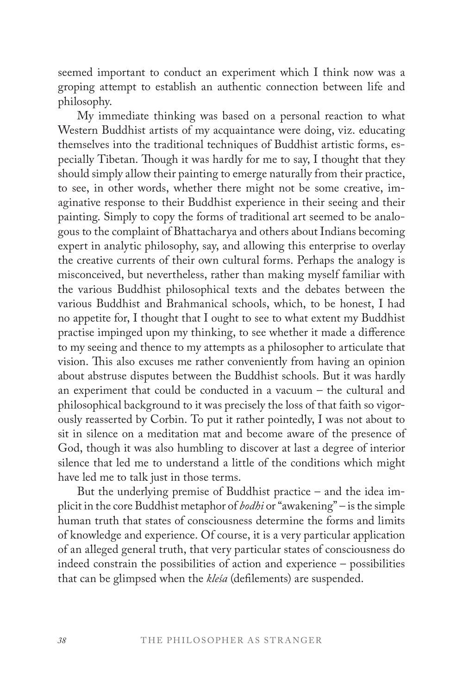seemed important to conduct an experiment which I think now was a groping attempt to establish an authentic connection between life and philosophy.

My immediate thinking was based on a personal reaction to what Western Buddhist artists of my acquaintance were doing, viz. educating themselves into the traditional techniques of Buddhist artistic forms, especially Tibetan. Though it was hardly for me to say, I thought that they should simply allow their painting to emerge naturally from their practice, to see, in other words, whether there might not be some creative, imaginative response to their Buddhist experience in their seeing and their painting. Simply to copy the forms of traditional art seemed to be analogous to the complaint of Bhattacharya and others about Indians becoming expert in analytic philosophy, say, and allowing this enterprise to overlay the creative currents of their own cultural forms. Perhaps the analogy is misconceived, but nevertheless, rather than making myself familiar with the various Buddhist philosophical texts and the debates between the various Buddhist and Brahmanical schools, which, to be honest, I had no appetite for, I thought that I ought to see to what extent my Buddhist practise impinged upon my thinking, to see whether it made a difference to my seeing and thence to my attempts as a philosopher to articulate that vision. This also excuses me rather conveniently from having an opinion about abstruse disputes between the Buddhist schools. But it was hardly an experiment that could be conducted in a vacuum – the cultural and philosophical background to it was precisely the loss of that faith so vigorously reasserted by Corbin. To put it rather pointedly, I was not about to sit in silence on a meditation mat and become aware of the presence of God, though it was also humbling to discover at last a degree of interior silence that led me to understand a little of the conditions which might have led me to talk just in those terms.

But the underlying premise of Buddhist practice – and the idea implicit in the core Buddhist metaphor of *bodhi* or "awakening" – is the simple human truth that states of consciousness determine the forms and limits of knowledge and experience. Of course, it is a very particular application of an alleged general truth, that very particular states of consciousness do indeed constrain the possibilities of action and experience – possibilities that can be glimpsed when the *kleśa* (defilements) are suspended.